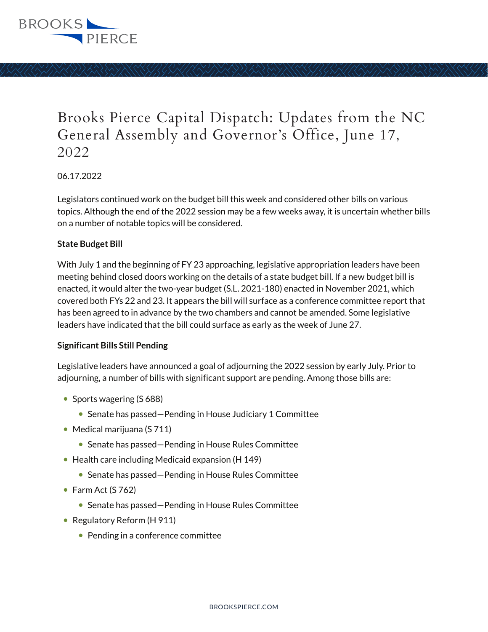

# Brooks Pierce Capital Dispatch: Updates from the NC General Assembly and Governor's Office, June 17, 2022

06.17.2022

Legislators continued work on the budget bill this week and considered other bills on various topics. Although the end of the 2022 session may be a few weeks away, it is uncertain whether bills on a number of notable topics will be considered.

#### **State Budget Bill**

With July 1 and the beginning of FY 23 approaching, legislative appropriation leaders have been meeting behind closed doors working on the details of a state budget bill. If a new budget bill is enacted, it would alter the two-year budget (S.L. 2021-180) enacted in November 2021, which covered both FYs 22 and 23. It appears the bill will surface as a conference committee report that has been agreed to in advance by the two chambers and cannot be amended. Some legislative leaders have indicated that the bill could surface as early as the week of June 27.

#### **Significant Bills Still Pending**

Legislative leaders have announced a goal of adjourning the 2022 session by early July. Prior to adjourning, a number of bills with significant support are pending. Among those bills are:

- Sports wagering (S 688)
	- Senate has passed–Pending in House Judiciary 1 Committee
- Medical marijuana (S 711)
	- Senate has passed–Pending in House Rules Committee
- Health care including Medicaid expansion (H 149)
	- Senate has passed–Pending in House Rules Committee
- Farm Act  $(S 762)$ 
	- Senate has passed–Pending in House Rules Committee
- Regulatory Reform (H 911)
	- Pending in a conference committee